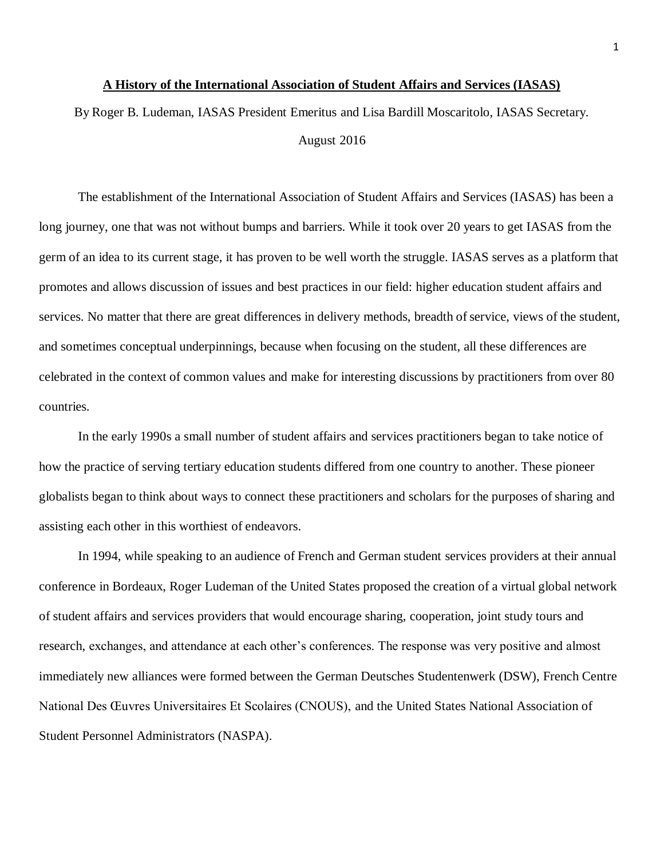## **A History of the International Association of Student Affairs and Services (IASAS)**

By Roger B. Ludeman, IASAS President Emeritus and Lisa Bardill Moscaritolo, IASAS Secretary. August 2016

The establishment of the International Association of Student Affairs and Services (IASAS) has been a long journey, one that was not without bumps and barriers. While it took over 20 years to get IASAS from the germ of an idea to its current stage, it has proven to be well worth the struggle. IASAS serves as a platform that promotes and allows discussion of issues and best practices in our field: higher education student affairs and services. No matter that there are great differences in delivery methods, breadth of service, views of the student, and sometimes conceptual underpinnings, because when focusing on the student, all these differences are celebrated in the context of common values and make for interesting discussions by practitioners from over 80 countries.

In the early 1990s a small number of student affairs and services practitioners began to take notice of how the practice of serving tertiary education students differed from one country to another. These pioneer globalists began to think about ways to connect these practitioners and scholars for the purposes ofsharing and assisting each other in this worthiest of endeavors.

In 1994, while speaking to an audience of French and German student services providers at their annual conference in Bordeaux, Roger Ludeman of the United States proposed the creation of a virtual global network of student affairs and services providers that would encourage sharing, cooperation, joint study tours and research, exchanges, and attendance at each other's conferences. The response was very positive and almost immediately new alliances were formed between the German Deutsches Studentenwerk (DSW), French Centre National Des Œuvres Universitaires Et Scolaires (CNOUS), and the United States National Association of Student Personnel Administrators (NASPA).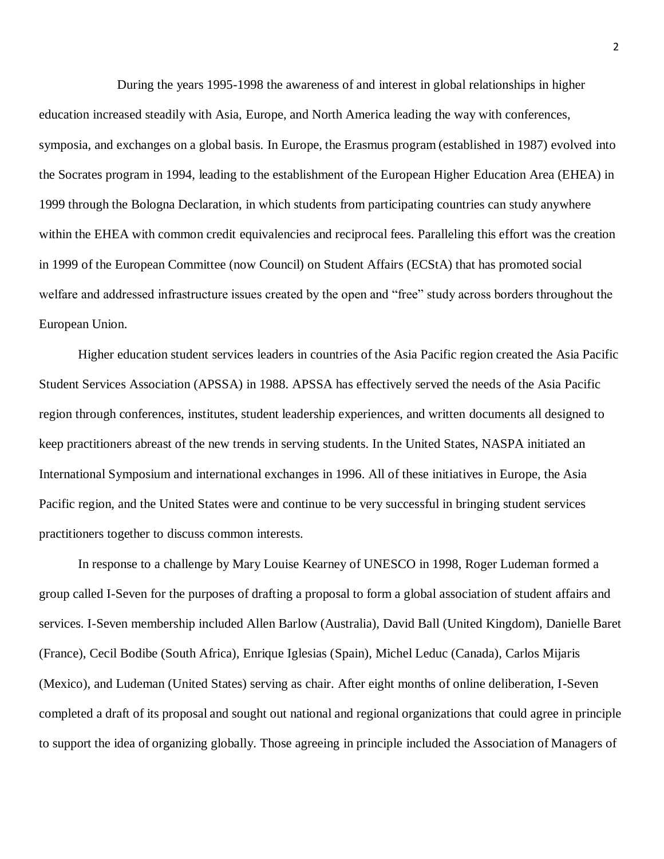During the years 1995-1998 the awareness of and interest in global relationships in higher education increased steadily with Asia, Europe, and North America leading the way with conferences, symposia, and exchanges on a global basis. In Europe, the Erasmus program (established in 1987) evolved into the Socrates program in 1994, leading to the establishment of the European Higher Education Area (EHEA) in 1999 through the Bologna Declaration, in which students from participating countries can study anywhere within the EHEA with common credit equivalencies and reciprocal fees. Paralleling this effort was the creation in 1999 of the European Committee (now Council) on Student Affairs (ECStA) that has promoted social welfare and addressed infrastructure issues created by the open and "free" study across borders throughout the European Union.

Higher education student services leaders in countries of the Asia Pacific region created the Asia Pacific Student Services Association (APSSA) in 1988. APSSA has effectively served the needs of the Asia Pacific region through conferences, institutes, student leadership experiences, and written documents all designed to keep practitioners abreast of the new trends in serving students. In the United States, NASPA initiated an International Symposium and international exchanges in 1996. All of these initiatives in Europe, the Asia Pacific region, and the United States were and continue to be very successful in bringing student services practitioners together to discuss common interests.

In response to a challenge by Mary Louise Kearney of UNESCO in 1998, Roger Ludeman formed a group called I-Seven for the purposes of drafting a proposal to form a global association of student affairs and services. I-Seven membership included Allen Barlow (Australia), David Ball (United Kingdom), Danielle Baret (France), Cecil Bodibe (South Africa), Enrique Iglesias (Spain), Michel Leduc (Canada), Carlos Mijaris (Mexico), and Ludeman (United States) serving as chair. After eight months of online deliberation, I-Seven completed a draft of its proposal and sought out national and regional organizations that could agree in principle to support the idea of organizing globally. Those agreeing in principle included the Association of Managers of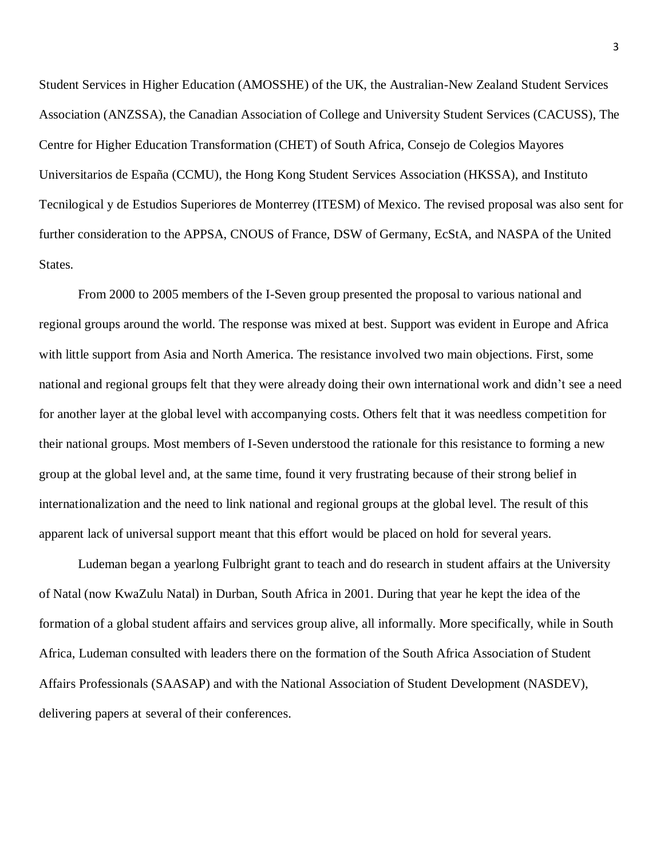Student Services in Higher Education (AMOSSHE) of the UK, the Australian-New Zealand Student Services Association (ANZSSA), the Canadian Association of College and University Student Services (CACUSS), The Centre for Higher Education Transformation (CHET) of South Africa, Consejo de Colegios Mayores Universitarios de España (CCMU), the Hong Kong Student Services Association (HKSSA), and Instituto Tecnilogical y de Estudios Superiores de Monterrey (ITESM) of Mexico. The revised proposal was also sent for further consideration to the APPSA, CNOUS of France, DSW of Germany, EcStA, and NASPA of the United States.

From 2000 to 2005 members of the I-Seven group presented the proposal to various national and regional groups around the world. The response was mixed at best. Support was evident in Europe and Africa with little support from Asia and North America. The resistance involved two main objections. First, some national and regional groups felt that they were already doing their own international work and didn't see a need for another layer at the global level with accompanying costs. Others felt that it was needless competition for their national groups. Most members of I-Seven understood the rationale for this resistance to forming a new group at the global level and, at the same time, found it very frustrating because of their strong belief in internationalization and the need to link national and regional groups at the global level. The result of this apparent lack of universal support meant that this effort would be placed on hold for several years.

Ludeman began a yearlong Fulbright grant to teach and do research in student affairs at the University of Natal (now KwaZulu Natal) in Durban, South Africa in 2001. During that year he kept the idea of the formation of a global student affairs and services group alive, all informally. More specifically, while in South Africa, Ludeman consulted with leaders there on the formation of the South Africa Association of Student Affairs Professionals (SAASAP) and with the National Association of Student Development (NASDEV), delivering papers at several of their conferences.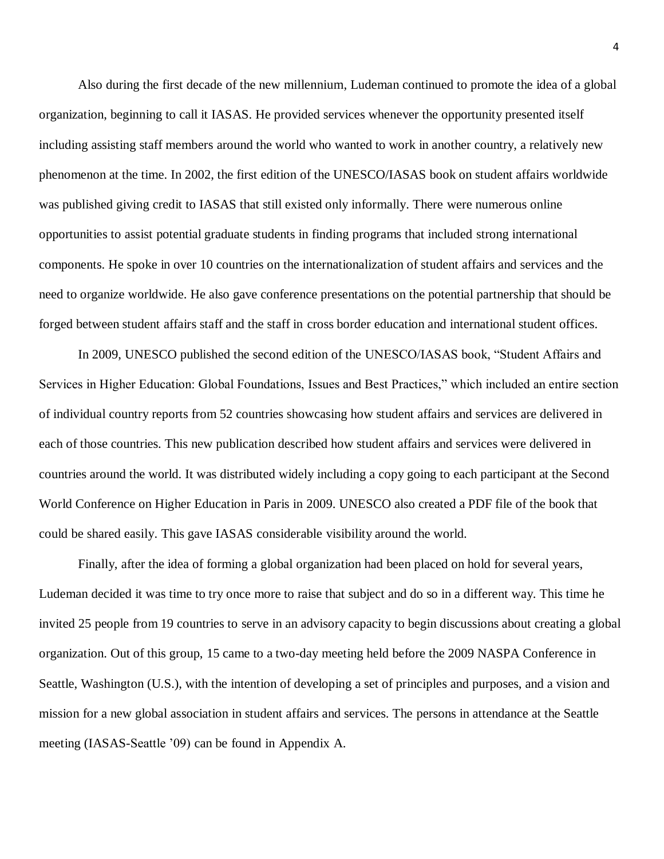Also during the first decade of the new millennium, Ludeman continued to promote the idea of a global organization, beginning to call it IASAS. He provided services whenever the opportunity presented itself including assisting staff members around the world who wanted to work in another country, a relatively new phenomenon at the time. In 2002, the first edition of the UNESCO/IASAS book on student affairs worldwide was published giving credit to IASAS that still existed only informally. There were numerous online opportunities to assist potential graduate students in finding programs that included strong international components. He spoke in over 10 countries on the internationalization of student affairs and services and the need to organize worldwide. He also gave conference presentations on the potential partnership that should be forged between student affairs staff and the staff in cross border education and international student offices.

In 2009, UNESCO published the second edition of the UNESCO/IASAS book, "Student Affairs and Services in Higher Education: Global Foundations, Issues and Best Practices," which included an entire section of individual country reports from 52 countries showcasing how student affairs and services are delivered in each of those countries. This new publication described how student affairs and services were delivered in countries around the world. It was distributed widely including a copy going to each participant at the Second World Conference on Higher Education in Paris in 2009. UNESCO also created a PDF file of the book that could be shared easily. This gave IASAS considerable visibility around the world.

Finally, after the idea of forming a global organization had been placed on hold for several years, Ludeman decided it was time to try once more to raise that subject and do so in a different way. This time he invited 25 people from 19 countries to serve in an advisory capacity to begin discussions about creating a global organization. Out of this group, 15 came to a two-day meeting held before the 2009 NASPA Conference in Seattle, Washington (U.S.), with the intention of developing a set of principles and purposes, and a vision and mission for a new global association in student affairs and services. The persons in attendance at the Seattle meeting (IASAS-Seattle '09) can be found in Appendix A.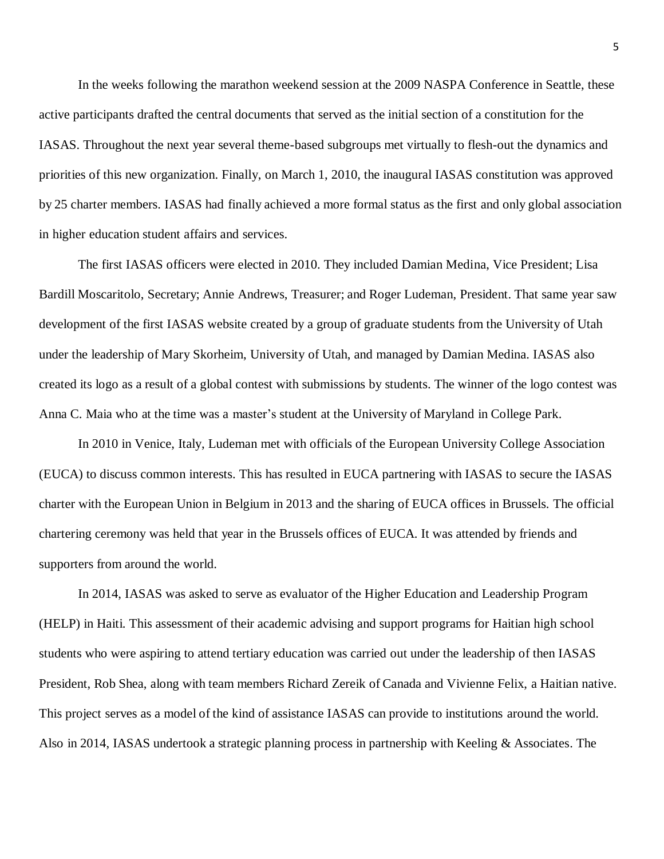In the weeks following the marathon weekend session at the 2009 NASPA Conference in Seattle, these active participants drafted the central documents that served as the initial section of a constitution for the IASAS. Throughout the next year several theme-based subgroups met virtually to flesh-out the dynamics and priorities of this new organization. Finally, on March 1, 2010, the inaugural IASAS constitution was approved by 25 charter members. IASAS had finally achieved a more formal status as the first and only global association in higher education student affairs and services.

The first IASAS officers were elected in 2010. They included Damian Medina, Vice President; Lisa Bardill Moscaritolo, Secretary; Annie Andrews, Treasurer; and Roger Ludeman, President. That same year saw development of the first IASAS website created by a group of graduate students from the University of Utah under the leadership of Mary Skorheim, University of Utah, and managed by Damian Medina. IASAS also created its logo as a result of a global contest with submissions by students. The winner of the logo contest was Anna C. Maia who at the time was a master's student at the University of Maryland in College Park.

In 2010 in Venice, Italy, Ludeman met with officials of the European University College Association (EUCA) to discuss common interests. This has resulted in EUCA partnering with IASAS to secure the IASAS charter with the European Union in Belgium in 2013 and the sharing of EUCA offices in Brussels. The official chartering ceremony was held that year in the Brussels offices of EUCA. It was attended by friends and supporters from around the world.

In 2014, IASAS was asked to serve as evaluator of the Higher Education and Leadership Program (HELP) in Haiti. This assessment of their academic advising and support programs for Haitian high school students who were aspiring to attend tertiary education was carried out under the leadership of then IASAS President, Rob Shea, along with team members Richard Zereik of Canada and Vivienne Felix, a Haitian native. This project serves as a model of the kind of assistance IASAS can provide to institutions around the world. Also in 2014, IASAS undertook a strategic planning process in partnership with Keeling & Associates. The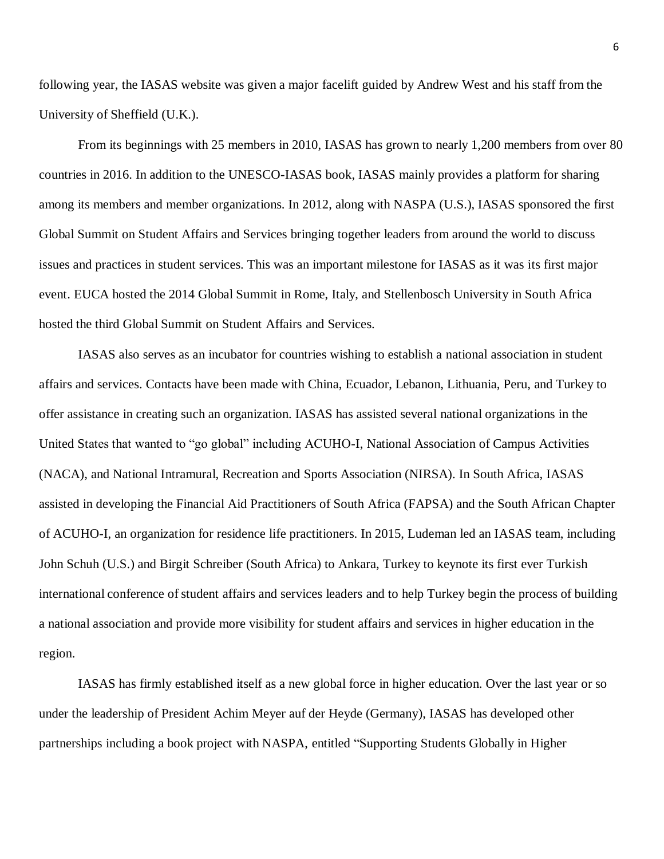following year, the IASAS website was given a major facelift guided by Andrew West and his staff from the University of Sheffield (U.K.).

From its beginnings with 25 members in 2010, IASAS has grown to nearly 1,200 members from over 80 countries in 2016. In addition to the UNESCO-IASAS book, IASAS mainly provides a platform for sharing among its members and member organizations. In 2012, along with NASPA (U.S.), IASAS sponsored the first Global Summit on Student Affairs and Services bringing together leaders from around the world to discuss issues and practices in student services. This was an important milestone for IASAS as it was its first major event. EUCA hosted the 2014 Global Summit in Rome, Italy, and Stellenbosch University in South Africa hosted the third Global Summit on Student Affairs and Services.

IASAS also serves as an incubator for countries wishing to establish a national association in student affairs and services. Contacts have been made with China, Ecuador, Lebanon, Lithuania, Peru, and Turkey to offer assistance in creating such an organization. IASAS has assisted several national organizations in the United States that wanted to "go global" including ACUHO-I, National Association of Campus Activities (NACA), and National Intramural, Recreation and Sports Association (NIRSA). In South Africa, IASAS assisted in developing the Financial Aid Practitioners of South Africa (FAPSA) and the South African Chapter of ACUHO-I, an organization for residence life practitioners. In 2015, Ludeman led an IASAS team, including John Schuh (U.S.) and Birgit Schreiber (South Africa) to Ankara, Turkey to keynote its first ever Turkish international conference of student affairs and services leaders and to help Turkey begin the process of building a national association and provide more visibility for student affairs and services in higher education in the region.

IASAS has firmly established itself as a new global force in higher education. Over the last year or so under the leadership of President Achim Meyer auf der Heyde (Germany), IASAS has developed other partnerships including a book project with NASPA, entitled "Supporting Students Globally in Higher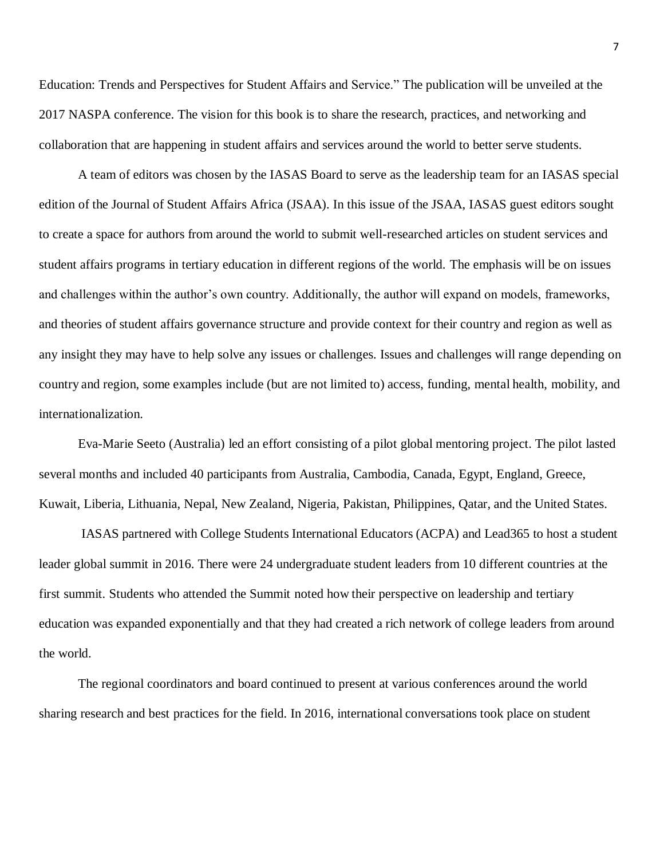Education: Trends and Perspectives for Student Affairs and Service." The publication will be unveiled at the 2017 NASPA conference. The vision for this book is to share the research, practices, and networking and collaboration that are happening in student affairs and services around the world to better serve students.

A team of editors was chosen by the IASAS Board to serve as the leadership team for an IASAS special edition of the Journal of Student Affairs Africa (JSAA). In this issue of the JSAA, IASAS guest editors sought to create a space for authors from around the world to submit well-researched articles on student services and student affairs programs in tertiary education in different regions of the world. The emphasis will be on issues and challenges within the author's own country. Additionally, the author will expand on models, frameworks, and theories of student affairs governance structure and provide context for their country and region as well as any insight they may have to help solve any issues or challenges. Issues and challenges will range depending on country and region, some examples include (but are not limited to) access, funding, mental health, mobility, and internationalization.

Eva-Marie Seeto (Australia) led an effort consisting of a pilot global mentoring project. The pilot lasted several months and included 40 participants from Australia, Cambodia, Canada, Egypt, England, Greece, Kuwait, Liberia, Lithuania, Nepal, New Zealand, Nigeria, Pakistan, Philippines, Qatar, and the United States.

IASAS partnered with College Students International Educators (ACPA) and Lead365 to host a student leader global summit in 2016. There were 24 undergraduate student leaders from 10 different countries at the first summit. Students who attended the Summit noted how their perspective on leadership and tertiary education was expanded exponentially and that they had created a rich network of college leaders from around the world.

The regional coordinators and board continued to present at various conferences around the world sharing research and best practices for the field. In 2016, international conversations took place on student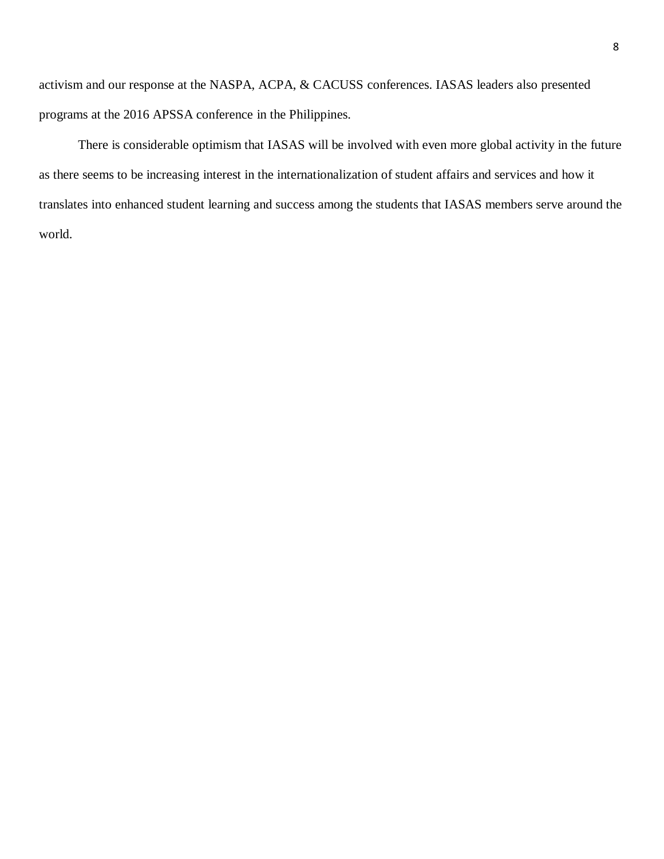activism and our response at the NASPA, ACPA, & CACUSS conferences. IASAS leaders also presented programs at the 2016 APSSA conference in the Philippines.

There is considerable optimism that IASAS will be involved with even more global activity in the future as there seems to be increasing interest in the internationalization of student affairs and services and how it translates into enhanced student learning and success among the students that IASAS members serve around the world.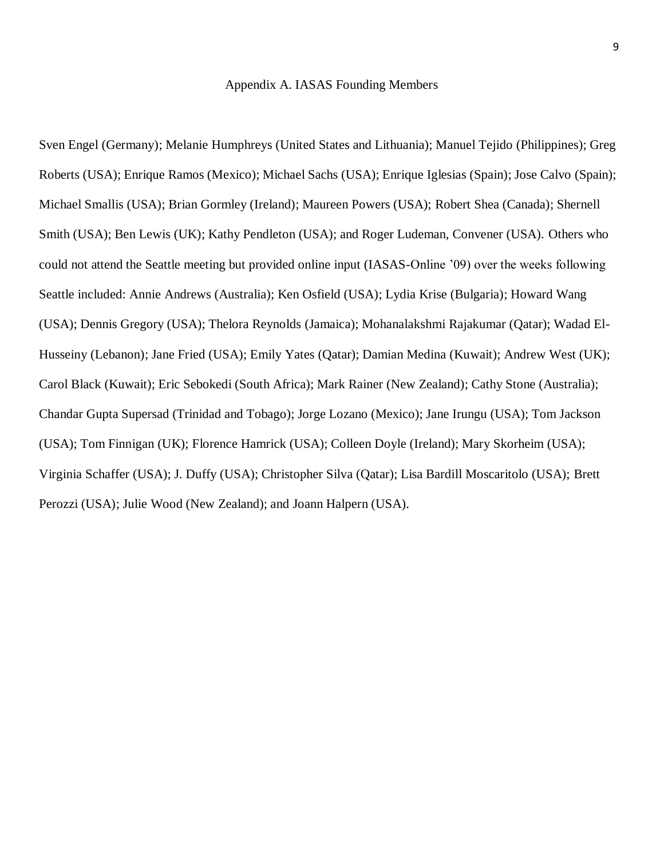## Appendix A. IASAS Founding Members

Sven Engel (Germany); Melanie Humphreys (United States and Lithuania); Manuel Tejido (Philippines); Greg Roberts (USA); Enrique Ramos (Mexico); Michael Sachs (USA); Enrique Iglesias (Spain); Jose Calvo (Spain); Michael Smallis (USA); Brian Gormley (Ireland); Maureen Powers (USA); Robert Shea (Canada); Shernell Smith (USA); Ben Lewis (UK); Kathy Pendleton (USA); and Roger Ludeman, Convener (USA). Others who could not attend the Seattle meeting but provided online input (IASAS-Online '09) over the weeks following Seattle included: Annie Andrews (Australia); Ken Osfield (USA); Lydia Krise (Bulgaria); Howard Wang (USA); Dennis Gregory (USA); Thelora Reynolds (Jamaica); Mohanalakshmi Rajakumar (Qatar); Wadad El-Husseiny (Lebanon); Jane Fried (USA); Emily Yates (Qatar); Damian Medina (Kuwait); Andrew West (UK); Carol Black (Kuwait); Eric Sebokedi (South Africa); Mark Rainer (New Zealand); Cathy Stone (Australia); Chandar Gupta Supersad (Trinidad and Tobago); Jorge Lozano (Mexico); Jane Irungu (USA); Tom Jackson (USA); Tom Finnigan (UK); Florence Hamrick (USA); Colleen Doyle (Ireland); Mary Skorheim (USA); Virginia Schaffer (USA); J. Duffy (USA); Christopher Silva (Qatar); Lisa Bardill Moscaritolo (USA); Brett Perozzi (USA); Julie Wood (New Zealand); and Joann Halpern (USA).